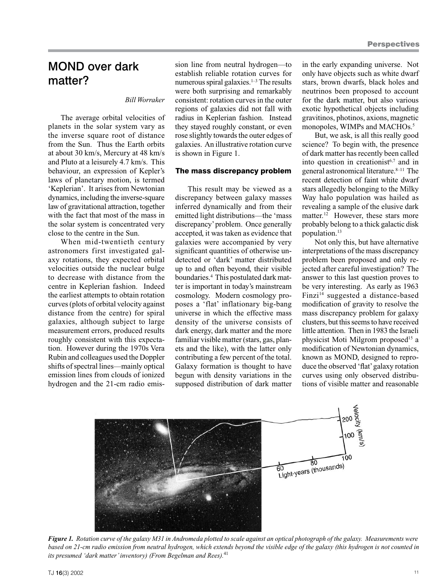## MOND over dark matter?

## *Bill Worraker*

The average orbital velocities of planets in the solar system vary as the inverse square root of distance from the Sun. Thus the Earth orbits at about 30 km/s, Mercury at 48 km/s and Pluto at a leisurely 4.7 km/s. This behaviour, an expression of Kepler's laws of planetary motion, is termed 'Keplerian'. It arises from Newtonian dynamics, including the inverse-square law of gravitational attraction, together with the fact that most of the mass in the solar system is concentrated very close to the centre in the Sun.

When mid-twentieth century astronomers first investigated galaxy rotations, they expected orbital velocities outside the nuclear bulge to decrease with distance from the centre in Keplerian fashion. Indeed the earliest attempts to obtain rotation curves (plots of orbital velocity against distance from the centre) for spiral galaxies, although subject to large measurement errors, produced results roughly consistent with this expectation. However during the 1970s Vera Rubin and colleagues used the Doppler shifts of spectral lines—mainly optical emission lines from clouds of ionized hydrogen and the 21-cm radio emission line from neutral hydrogen—to establish reliable rotation curves for numerous spiral galaxies. $1-3$  The results were both surprising and remarkably consistent: rotation curves in the outer regions of galaxies did not fall with radius in Keplerian fashion. Instead they stayed roughly constant, or even rose slightly towards the outer edges of galaxies. An illustrative rotation curve is shown in Figure 1.

### The mass discrepancy problem

This result may be viewed as a discrepancy between galaxy masses inferred dynamically and from their emitted light distributions—the 'mass discrepancy' problem. Once generally accepted, it was taken as evidence that galaxies were accompanied by very significant quantities of otherwise undetected or 'dark' matter distributed up to and often beyond, their visible boundaries.4 This postulated dark matter is important in today's mainstream cosmology. Modern cosmology proposes a 'flat' inflationary big-bang universe in which the effective mass density of the universe consists of dark energy, dark matter and the more familiar visible matter (stars, gas, planets and the like), with the latter only contributing a few percent of the total. Galaxy formation is thought to have begun with density variations in the supposed distribution of dark matter

in the early expanding universe. Not only have objects such as white dwarf stars, brown dwarfs, black holes and neutrinos been proposed to account for the dark matter, but also various exotic hypothetical objects including gravitinos, photinos, axions, magnetic monopoles, WIMPs and MACHOs.<sup>5</sup>

But, we ask, is all this really good science? To begin with, the presence of dark matter has recently been called into question in creationist $6,7$  and in general astronomical literature.<sup>8–11</sup> The recent detection of faint white dwarf stars allegedly belonging to the Milky Way halo population was hailed as revealing a sample of the elusive dark matter.<sup>12</sup> However, these stars more probably belong to a thick galactic disk population.13

Not only this, but have alternative interpretations of the mass discrepancy problem been proposed and only rejected after careful investigation? The answer to this last question proves to be very interesting. As early as 1963 Finzi<sup>14</sup> suggested a distance-based modification of gravity to resolve the mass discrepancy problem for galaxy clusters, but this seems to have received little attention. Then in 1983 the Israeli physicist Moti Milgrom proposed<sup>15</sup> a modification of Newtonian dynamics, known as MOND, designed to reproduce the observed 'flat' galaxy rotation curves using only observed distributions of visible matter and reasonable



*Figure 1. Rotation curve of the galaxy M31 in Andromeda plotted to scale against an optical photograph of the galaxy. Measurements were based on 21-cm radio emission from neutral hydrogen, which extends beyond the visible edge of the galaxy (this hydrogen is not counted in its presumed 'dark matter' inventory) (From Begelman and Rees).*<sup>41</sup>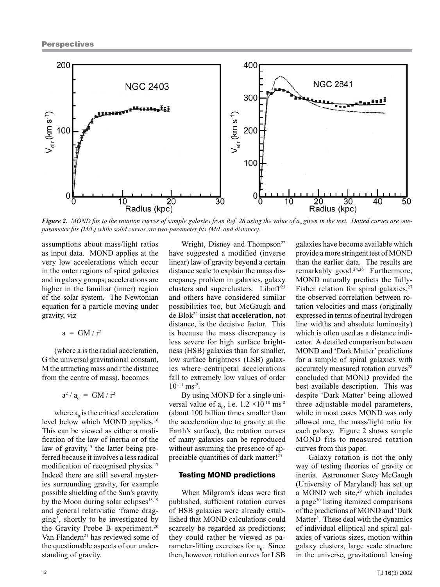

Figure 2. MOND fits to the rotation curves of sample galaxies from Ref. 28 using the value of a<sub>0</sub> given in the text. Dotted curves are one*parameter fits (M/L) while solid curves are two-parameter fits (M/L and distance).* 

assumptions about mass/light ratios as input data. MOND applies at the very low accelerations which occur in the outer regions of spiral galaxies and in galaxy groups; accelerations are higher in the familiar (inner) region of the solar system. The Newtonian equation for a particle moving under gravity, viz

$$
a = GM/r^2
$$

(where a is the radial acceleration, G the universal gravitational constant, M the attracting mass and r the distance from the centre of mass), becomes

 $a^2 / a_0 = GM / r^2$ 

where  $a_0$  is the critical acceleration level below which MOND applies.<sup>16</sup> This can be viewed as either a modification of the law of inertia or of the law of gravity, $15$  the latter being preferred because it involves a less radical modification of recognised physics.<sup>17</sup> Indeed there are still several mysteries surrounding gravity, for example possible shielding of the Sun's gravity by the Moon during solar eclipses $18,19$ and general relativistic 'frame dragging', shortly to be investigated by the Gravity Probe B experiment.<sup>20</sup> Van Flandern<sup>21</sup> has reviewed some of the questionable aspects of our understanding of gravity.

Wright, Disney and Thompson<sup>22</sup> have suggested a modified (inverse linear) law of gravity beyond a certain distance scale to explain the mass discrepancy problem in galaxies, galaxy clusters and superclusters. Liboff<sup>23</sup> and others have considered similar possibilities too, but McGaugh and de Blok24 insist that **acceleration**, not distance, is the decisive factor. This is because the mass discrepancy is less severe for high surface brightness (HSB) galaxies than for smaller, low surface brightness (LSB) galaxies where centripetal accelerations fall to extremely low values of order  $10^{-11}$  ms<sup>-2</sup>.

By using MOND for a single universal value of  $a_0$ , i.e.  $1.2 \times 10^{-10}$  ms<sup>-2</sup> (about 100 billion times smaller than the acceleration due to gravity at the Earth's surface), the rotation curves of many galaxies can be reproduced without assuming the presence of appreciable quantities of dark matter!25

#### Testing MOND predictions

When Milgrom's ideas were first published, sufficient rotation curves of HSB galaxies were already established that MOND calculations could scarcely be regarded as predictions; they could rather be viewed as parameter-fitting exercises for  $a_0$ . Since then, however, rotation curves for LSB

galaxies have become available which provide a more stringent test of MOND than the earlier data. The results are remarkably good.<sup>24,26</sup> Furthermore, MOND naturally predicts the Tully-Fisher relation for spiral galaxies, $27$ the observed correlation between rotation velocities and mass (originally expressed in terms of neutral hydrogen line widths and absolute luminosity) which is often used as a distance indicator. A detailed comparison between MOND and 'Dark Matter' predictions for a sample of spiral galaxies with accurately measured rotation curves<sup>28</sup> concluded that MOND provided the best available description. This was despite 'Dark Matter' being allowed three adjustable model parameters, while in most cases MOND was only allowed one, the mass/light ratio for each galaxy. Figure 2 shows sample MOND fits to measured rotation curves from this paper.

Galaxy rotation is not the only way of testing theories of gravity or inertia. Astronomer Stacy McGaugh (University of Maryland) has set up a MOND web site, $29$  which includes a page<sup>30</sup> listing itemized comparisons of the predictions of MOND and 'Dark Matter'. These deal with the dynamics of individual elliptical and spiral galaxies of various sizes, motion within galaxy clusters, large scale structure in the universe, gravitational lensing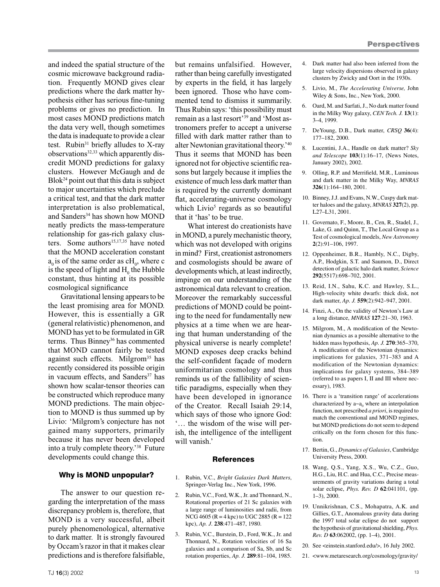and indeed the spatial structure of the cosmic microwave background radiation. Frequently MOND gives clear predictions where the dark matter hypothesis either has serious fine-tuning problems or gives no prediction. In most cases MOND predictions match the data very well, though sometimes the data is inadequate to provide a clear test. Rubin $31$  briefly alludes to X-ray observations<sup>32,33</sup> which apparently discredit MOND predictions for galaxy clusters. However McGaugh and de  $B\text{lok}^{24}$  point out that this data is subject to major uncertainties which preclude a critical test, and that the dark matter interpretation is also problematical, and Sanders<sup>34</sup> has shown how MOND neatly predicts the mass-temperature relationship for gas-rich galaxy clusters. Some authors<sup>15,17,35</sup> have noted that the MOND acceleration constant  $a_0$  is of the same order as  $cH_0$ , where c is the speed of light and  $H_0$  the Hubble constant, thus hinting at its possible cosmological significance.

Gravitational lensing appears to be the least promising area for MOND. However, this is essentially a GR (general relativistic) phenomenon, and MOND has yet to be formulated in GR terms. Thus Binney<sup>36</sup> has commented that MOND cannot fairly be tested against such effects. Milgrom<sup>35</sup> has recently considered its possible origin in vacuum effects, and Sanders<sup>37</sup> has shown how scalar-tensor theories can be constructed which reproduce many MOND predictions. The main objection to MOND is thus summed up by Livio: 'Milgrom's conjecture has not gained many supporters, primarily because it has never been developed into a truly complete theory.'38 Future developments could change this.

#### Why is MOND unpopular?

The answer to our question regarding the interpretation of the mass discrepancy problem is, therefore, that MOND is a very successful, albeit purely phenomenological, alternative to dark matter. It is strongly favoured by Occam's razor in that it makes clear predictions and is therefore falsifiable, but remains unfalsified. However, rather than being carefully investigated by experts in the field, it has largely been ignored. Those who have commented tend to dismiss it summarily. Thus Rubin says: 'this possibility must remain as a last resort'39 and 'Most astronomers prefer to accept a universe filled with dark matter rather than to alter Newtonian gravitational theory.' 40 Thus it seems that MOND has been ignored not for objective scientific reasons but largely because it implies the existence of much less dark matter than is required by the currently dominant flat, accelerating-universe cosmology which Livio<sup>5</sup> regards as so beautiful that it 'has' to be true.

What interest do creationists have in MOND, a purely mechanistic theory, which was not developed with origins in mind? First, creationist astronomers and cosmologists should be aware of developments which, at least indirectly, impinge on our understanding of the astronomical data relevant to creation. Moreover the remarkably successful predictions of MOND could be pointing to the need for fundamentally new physics at a time when we are hearing that human understanding of the physical universe is nearly complete! MOND exposes deep cracks behind the self-confident façade of modern uniformitarian cosmology and thus reminds us of the fallibility of scientific paradigms, especially when they have been developed in ignorance of the Creator. Recall Isaiah 29:14, which says of those who ignore God: '… the wisdom of the wise will perish, the intelligence of the intelligent will vanish.'

#### References

- 1. Rubin, V.C., *Bright Galaxies Dark Matters*, Springer-Verlag Inc., New York, 1996.
- 2. Rubin, V.C., Ford, W.K., Jr. and Thonnard, N., Rotational properties of 21 Sc galaxies with a large range of luminosities and radii, from NCG 4605 ( $R = 4$  kpc) to UGC 2885 ( $R = 122$ ) kpc), *Ap. J*. **238**:471–487, 1980.
- 3. Rubin, V.C., Burstein, D., Ford, W.K., Jr. and Thonnard, N., Rotation velocities of 16 Sa galaxies and a comparison of Sa, Sb, and Sc rotation properties, *Ap. J.* **289**:81–104, 1985.
- 4. Dark matter had also been inferred from the large velocity dispersions observed in galaxy clusters by Zwicky and Oort in the 1930s.
- 5. Livio, M., *The Accelerating Universe,* John Wiley & Sons, Inc., New York, 2000.
- 6. Oard, M. and Sarfati, J., No dark matter found in the Milky Way galaxy, *CEN Tech. J.* **13**(1): 3–4, 1999.
- 7. DeYoung, D.B., Dark matter, *CRSQ* **36**(4): 177–182, 2000.
- 8. Lucentini, J.A., Handle on dark matter? *Sky and Telescope* **103**(1):16–17, (News Notes, January 2002), 2002.
- 9. Olling, R.P. and Merrifield, M.R., Luminous and dark matter in the Milky Way, *MNRAS* **326**(1):164–180, 2001.
- 10. Binney, J.J. and Evans, N.W., Cuspy dark matter haloes and the galaxy, *MNRAS* **327**(2), pp. L27–L31, 2001.
- 11. Governato, F., Moore, B., Cen, R., Stadel, J., Lake, G. and Quinn, T., The Local Group as a Test of cosmological models, *New Astronomy*  **2**(2):91–106, 1997.
- 12. Oppenheimer, B.R., Hambly, N.C., Digby, A.P., Hodgkin, S.T. and Saumon, D., Direct detection of galactic halo dark matter, *Science* **292**(5517):698–702, 2001.
- 13. Reid, I.N., Sahu, K.C. and Hawley, S.L., High-velocity white dwarfs: thick disk, not dark matter, *Ap. J.* **559**(2):942–947, 2001.
- 14. Finzi, A., On the validity of Newton's Law at a long distance, *MNRAS* **127**:21–30, 1963.
- 15. Milgrom, M., A modification of the Newtonian dynamics as a possible alternative to the hidden mass hypothesis, *Ap. J.* **270**:365–370, A modification of the Newtonian dynamics: implications for galaxies, 371–383 and A modification of the Newtonian dynamics: implications for galaxy systems, 384–389 (referred to as papers I, II and III where necessary), 1983.
- 16. There is a 'transition range' of accelerations characterized by  $a \sim a_0$  where an interpolation function, not prescribed *a priori*, is required to match the conventional and MOND regimes, but MOND predictions do not seem to depend critically on the form chosen for this function.
- 17. Bertin, G., *Dynamics of Galaxies*, Cambridge University Press, 2000.
- 18. Wang, Q.S., Yang, X.S., Wu, C.Z., Guo, H.G., Liu, H.C. and Hua, C.C., Precise measurements of gravity variations during a total solar eclipse, *Phys. Rev. D* **62**:041101, (pp. 1–3), 2000.
- 19. Unnikrishnan, C.S., Mohapatra, A.K. and Gillies, G.T., Anomalous gravity data during the 1997 total solar eclipse do not support the hypothesis of gravitational shielding, *Phys. Rev. D* **63**:062002, (pp. 1–4), 2001.
- 20. See <einstein.stanford.edu/>, 16 July 2002.
- 21. <www.metaresearch.org/cosmology/gravity/